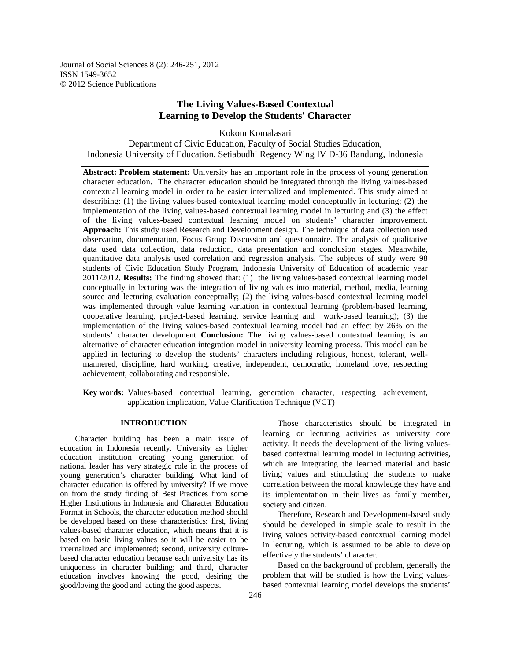Journal of Social Sciences 8 (2): 246-251, 2012 ISSN 1549-3652 © 2012 Science Publications

# **The Living Values-Based Contextual Learning to Develop the Students' Character**

Kokom Komalasari

Department of Civic Education, Faculty of Social Studies Education, Indonesia University of Education, Setiabudhi Regency Wing IV D-36 Bandung, Indonesia

**Abstract: Problem statement:** University has an important role in the process of young generation character education. The character education should be integrated through the living values-based contextual learning model in order to be easier internalized and implemented. This study aimed at describing: (1) the living values-based contextual learning model conceptually in lecturing; (2) the implementation of the living values-based contextual learning model in lecturing and (3) the effect of the living values-based contextual learning model on students' character improvement. **Approach:** This study used Research and Development design. The technique of data collection used observation, documentation, Focus Group Discussion and questionnaire. The analysis of qualitative data used data collection, data reduction, data presentation and conclusion stages. Meanwhile, quantitative data analysis used correlation and regression analysis. The subjects of study were 98 students of Civic Education Study Program, Indonesia University of Education of academic year 2011/2012. **Results:** The finding showed that: (1) the living values-based contextual learning model conceptually in lecturing was the integration of living values into material, method, media, learning source and lecturing evaluation conceptually; (2) the living values-based contextual learning model was implemented through value learning variation in contextual learning (problem-based learning, cooperative learning, project-based learning, service learning and work-based learning); (3) the implementation of the living values-based contextual learning model had an effect by 26% on the students' character development **Conclusion:** The living values-based contextual learning is an alternative of character education integration model in university learning process. This model can be applied in lecturing to develop the students' characters including religious, honest, tolerant, wellmannered, discipline, hard working, creative, independent, democratic, homeland love, respecting achievement, collaborating and responsible.

**Key words:** Values-based contextual learning, generation character, respecting achievement, application implication, Value Clarification Technique (VCT)

## **INTRODUCTION**

 Character building has been a main issue of education in Indonesia recently. University as higher education institution creating young generation of national leader has very strategic role in the process of young generation's character building. What kind of character education is offered by university? If we move on from the study finding of Best Practices from some Higher Institutions in Indonesia and Character Education Format in Schools, the character education method should be developed based on these characteristics: first, living values-based character education, which means that it is based on basic living values so it will be easier to be internalized and implemented; second, university culturebased character education because each university has its uniqueness in character building; and third, character education involves knowing the good, desiring the good/loving the good and acting the good aspects.

 Those characteristics should be integrated in learning or lecturing activities as university core activity. It needs the development of the living valuesbased contextual learning model in lecturing activities, which are integrating the learned material and basic living values and stimulating the students to make correlation between the moral knowledge they have and its implementation in their lives as family member, society and citizen.

 Therefore, Research and Development-based study should be developed in simple scale to result in the living values activity-based contextual learning model in lecturing, which is assumed to be able to develop effectively the students' character.

 Based on the background of problem, generally the problem that will be studied is how the living valuesbased contextual learning model develops the students'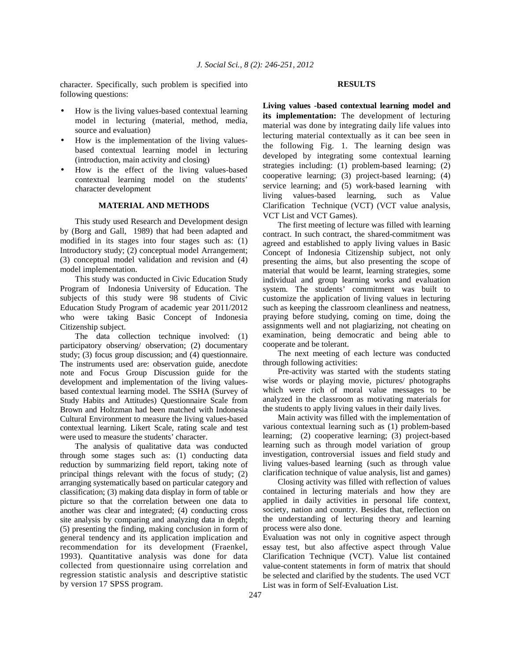character. Specifically, such problem is specified into following questions:

- How is the living values-based contextual learning model in lecturing (material, method, media, source and evaluation)
- How is the implementation of the living valuesbased contextual learning model in lecturing (introduction, main activity and closing)
- How is the effect of the living values-based contextual learning model on the students' character development

## **MATERIAL AND METHODS**

 This study used Research and Development design by (Borg and Gall, 1989) that had been adapted and modified in its stages into four stages such as: (1) Introductory study; (2) conceptual model Arrangement; (3) conceptual model validation and revision and (4) model implementation.

 This study was conducted in Civic Education Study Program of Indonesia University of Education. The subjects of this study were 98 students of Civic Education Study Program of academic year 2011/2012 who were taking Basic Concept of Indonesia Citizenship subject.

 The data collection technique involved: (1) participatory observing/ observation; (2) documentary study; (3) focus group discussion; and (4) questionnaire. The instruments used are: observation guide, anecdote note and Focus Group Discussion guide for the development and implementation of the living valuesbased contextual learning model. The SSHA (Survey of Study Habits and Attitudes) Questionnaire Scale from Brown and Holtzman had been matched with Indonesia Cultural Environment to measure the living values-based contextual learning. Likert Scale, rating scale and test were used to measure the students' character.

 The analysis of qualitative data was conducted through some stages such as: (1) conducting data reduction by summarizing field report, taking note of principal things relevant with the focus of study; (2) arranging systematically based on particular category and classification; (3) making data display in form of table or picture so that the correlation between one data to another was clear and integrated; (4) conducting cross site analysis by comparing and analyzing data in depth; (5) presenting the finding, making conclusion in form of general tendency and its application implication and recommendation for its development (Fraenkel, 1993). Quantitative analysis was done for data collected from questionnaire using correlation and regression statistic analysis and descriptive statistic by version 17 SPSS program.

### **RESULTS**

**Living values -based contextual learning model and its implementation:** The development of lecturing material was done by integrating daily life values into lecturing material contextually as it can bee seen in the following Fig. 1. The learning design was developed by integrating some contextual learning strategies including: (1) problem-based learning; (2) cooperative learning; (3) project-based learning; (4) service learning; and (5) work-based learning with living values-based learning, such as Value Clarification Technique (VCT) (VCT value analysis, VCT List and VCT Games).

 The first meeting of lecture was filled with learning contract. In such contract, the shared-commitment was agreed and established to apply living values in Basic Concept of Indonesia Citizenship subject, not only presenting the aims, but also presenting the scope of material that would be learnt, learning strategies, some individual and group learning works and evaluation system. The students' commitment was built to customize the application of living values in lecturing such as keeping the classroom cleanliness and neatness, praying before studying, coming on time, doing the assignments well and not plagiarizing, not cheating on examination, being democratic and being able to cooperate and be tolerant.

 The next meeting of each lecture was conducted through following activities:

Pre-activity was started with the students stating wise words or playing movie, pictures/ photographs which were rich of moral value messages to be analyzed in the classroom as motivating materials for the students to apply living values in their daily lives.

 Main activity was filled with the implementation of various contextual learning such as (1) problem-based learning; (2) cooperative learning; (3) project-based learning such as through model variation of group investigation, controversial issues and field study and living values-based learning (such as through value clarification technique of value analysis, list and games)

 Closing activity was filled with reflection of values contained in lecturing materials and how they are applied in daily activities in personal life context, society, nation and country. Besides that, reflection on the understanding of lecturing theory and learning process were also done.

Evaluation was not only in cognitive aspect through essay test, but also affective aspect through Value Clarification Technique (VCT). Value list contained value-content statements in form of matrix that should be selected and clarified by the students. The used VCT List was in form of Self-Evaluation List.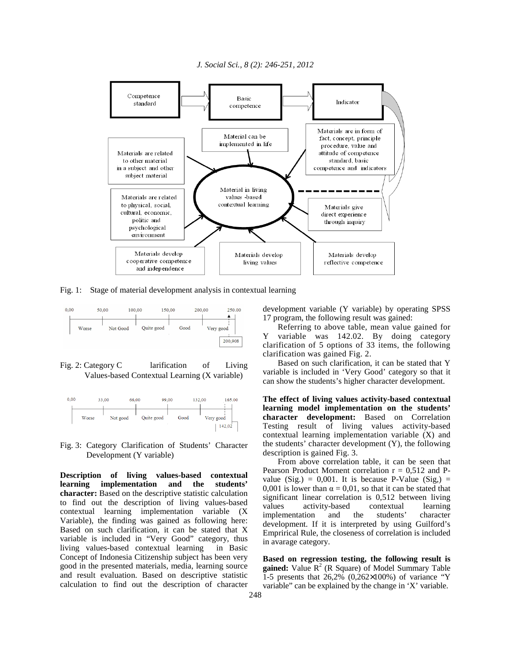

*J. Social Sci., 8 (2): 246-251, 2012* 

Fig. 1: Stage of material development analysis in contextual learning



Fig. 2: Category C larification of Living Values-based Contextual Learning (X variable)



Fig. 3: Category Clarification of Students' Character Development (Y variable)

**Description of living values-based contextual learning implementation and the students' character:** Based on the descriptive statistic calculation to find out the description of living values-based contextual learning implementation variable (X Variable), the finding was gained as following here: Based on such clarification, it can be stated that X variable is included in "Very Good" category, thus living values-based contextual learning in Basic Concept of Indonesia Citizenship subject has been very good in the presented materials, media, learning source and result evaluation. Based on descriptive statistic calculation to find out the description of character development variable (Y variable) by operating SPSS 17 program, the following result was gained:

Referring to above table, mean value gained for<br>Y variable was 142.02. By doing category variable was 142.02. By doing category clarification of 5 options of 33 items, the following clarification was gained Fig. 2.

 Based on such clarification, it can be stated that Y variable is included in 'Very Good' category so that it can show the students's higher character development.

**The effect of living values activity-based contextual learning model implementation on the students' character development:** Based on Correlation Testing result of living values activity-based contextual learning implementation variable (X) and the students' character development (Y), the following description is gained Fig. 3.

 From above correlation table, it can be seen that Pearson Product Moment correlation  $r = 0.512$  and Pvalue (Sig.) =  $0,001$ . It is because P-Value (Sig.) = 0,001 is lower than  $\alpha = 0.01$ , so that it can be stated that significant linear correlation is 0,512 between living values activity-based contextual learning<br>implementation and the students' character implementation and the development. If it is interpreted by using Guilford's Emprirical Rule, the closeness of correlation is included in avarage category.

**Based on regression testing, the following result is**  gained: Value  $R^2$  (R Square) of Model Summary Table 1-5 presents that 26,2% (0,262×100%) of variance "Y variable" can be explained by the change in 'X' variable.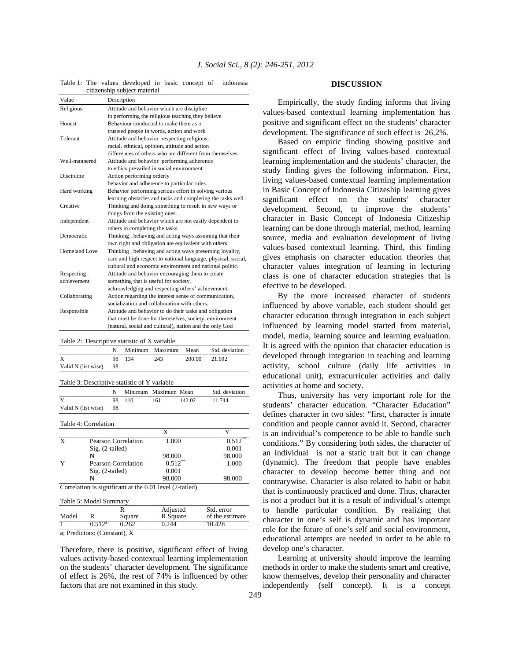|                              |  |  |  |  |  |  | Table 1: The values developed in basic concept of indonesia |
|------------------------------|--|--|--|--|--|--|-------------------------------------------------------------|
| citizenship subject material |  |  |  |  |  |  |                                                             |

| Value         | Description                                                   |  |  |  |
|---------------|---------------------------------------------------------------|--|--|--|
| Religious     | Attitude and behavior which are discipline                    |  |  |  |
|               | in performing the religious teaching they believe             |  |  |  |
| Honest        | Behaviour conducted to make them as a                         |  |  |  |
|               | trusteed people in words, action and work                     |  |  |  |
| Tolerant      | Attitude and behavior respecting religious,                   |  |  |  |
|               | racial, ethnical, opinion, attitude and action                |  |  |  |
|               | differences of others who are different from themselves.      |  |  |  |
| Well-mannered | Attitude and behavior performing adherence                    |  |  |  |
|               | to ethics prevailed in social environment.                    |  |  |  |
| Discipline    | Action performing orderly                                     |  |  |  |
|               | behavior and adherence to particular rules.                   |  |  |  |
| Hard working  | Behavior performing serious effort in solving various         |  |  |  |
|               | learning obstacles and tasks and completing the tasks well.   |  |  |  |
| Creative      | Thinking and doing something to result in new ways or         |  |  |  |
|               | things from the existing ones.                                |  |  |  |
| Independent   | Attitude and behavior which are not easily dependent to       |  |  |  |
|               | others in completing the tasks.                               |  |  |  |
| Democratic    | Thinking, behaving and acting ways assuming that their        |  |  |  |
|               | own right and obligation are equivalent with others.          |  |  |  |
| Homeland Love | Thinking, behaving and acting ways presenting loyality,       |  |  |  |
|               | care and high respect to national language, physical, social, |  |  |  |
|               | cultural and economic environment and national politic.       |  |  |  |
| Respecting    | Attitude and behavior encouraging them to create              |  |  |  |
| achievement   | something that is useful for society,                         |  |  |  |
|               | acknowledging and respecting others' achievement.             |  |  |  |
| Collaborating | Action regarding the interest sense of communication,         |  |  |  |
|               | socialization and collaboration with others.                  |  |  |  |
| Responsible   | Attitude and behavior to do their tasks and obligation        |  |  |  |
|               | that must be done for themselves, society, environment        |  |  |  |
|               | (natural, social and cultural), nation and the only God       |  |  |  |

Table 2: Descriptive statistic of X variable

|                           |      |       | Minimum Maximum | Mean   | Std. deviation |
|---------------------------|------|-------|-----------------|--------|----------------|
| $\boldsymbol{\mathsf{x}}$ | 98.  | - 134 | 243             | 200.90 | 21.692         |
| Valid N (list wise)       | - 98 |       |                 |        |                |

#### Table 3: Descriptive statistic of Y variable

|                                                         |                            | N  | Minimum | Maximum Mean |        | Std. deviation |
|---------------------------------------------------------|----------------------------|----|---------|--------------|--------|----------------|
| Y                                                       |                            | 98 | 110     | 161          | 142.02 | 11.744         |
| Valid N (list wise)                                     |                            | 98 |         |              |        |                |
| Table 4: Correlation                                    |                            |    |         |              |        |                |
|                                                         |                            |    |         | X            |        | Y              |
| X                                                       | Pearson Correlation        |    |         | 1.000        |        | $0.512**$      |
|                                                         | $Sig. (2-tailed)$          |    |         |              |        | 0.001          |
|                                                         | N                          |    |         | 98.000       |        | 98.000         |
| Y                                                       | <b>Pearson Correlation</b> |    |         | $0.512***$   |        | 1.000          |
|                                                         | $Sig. (2-tailed)$          |    |         | 0.001        |        |                |
|                                                         | N                          |    |         | 98.000       |        | 98.000         |
| Correlation is significant at the 0.01 level (2-tailed) |                            |    |         |              |        |                |
| Table 5: Model Summary                                  |                            |    |         |              |        |                |

| таріс эт імперативная у      |                 |        |          |                 |  |  |
|------------------------------|-----------------|--------|----------|-----------------|--|--|
|                              |                 |        | Adjusted | Std. error      |  |  |
| Model                        |                 | Square | R Square | of the estimate |  |  |
|                              | $0.512^{\rm a}$ | 0.262  | 0.244    | 10.428          |  |  |
| a; Predictors: (Constant), X |                 |        |          |                 |  |  |

Therefore, there is positive, significant effect of living values activity-based contextual learning implementation on the students' character development. The significance of effect is 26%, the rest of 74% is influenced by other factors that are not examined in this study.

### **DISCUSSION**

 Empirically, the study finding informs that living values-based contextual learning implementation has positive and significant effect on the students' character development. The significance of such effect is 26,2%.

 Based on empiric finding showing positive and significant effect of living values-based contextual learning implementation and the students' character, the study finding gives the following information. First, living values-based contextual learning implementation in Basic Concept of Indonesia Citizeship learning gives<br>significant effect on the students' character significant effect on the students' character development. Second, to improve the students' character in Basic Concept of Indonesia Citizeship learning can be done through material, method, learning source, media and evaluation development of living values-based contextual learning. Third, this finding gives emphasis on character education theories that character values integration of learning in lecturing class is one of character education strategies that is efective to be developed.

 By the more increased character of students influenced by above variable, each student should get character education through integration in each subject influenced by learning model started from material, model, media, learning source and learning evaluation. It is agreed with the opinion that character education is developed through integration in teaching and learning activity, school culture (daily life activities in educational unit), extracurriculer activities and daily activities at home and society.

 Thus, university has very important role for the students' character education. "Character Education" defines character in two sides: "first, character is innate condition and people cannot avoid it. Second, character is an individual's competence to be able to handle such conditions." By considering both sides, the character of an individual is not a static trait but it can change (dynamic). The freedom that people have enables character to develop become better thing and not contrarywise. Character is also related to habit or habit that is continuously practiced and done. Thus, character is not a product but it is a result of individual's attempt to handle particular condition. By realizing that character in one's self is dynamic and has important role for the future of one's self and social environment, educational attempts are needed in order to be able to develop one's character.

 Learning at university should improve the learning methods in order to make the students smart and creative, know themselves, develop their personality and character independently (self concept). It is a concept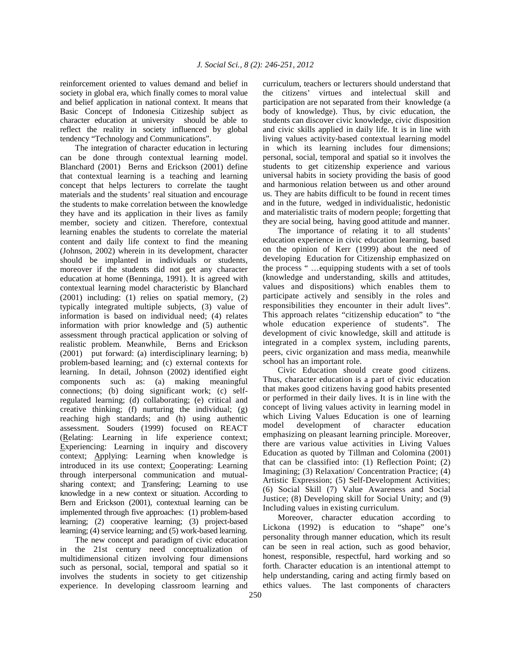reinforcement oriented to values demand and belief in society in global era, which finally comes to moral value and belief application in national context. It means that Basic Concept of Indonesia Citizeship subject as character education at university should be able to reflect the reality in society influenced by global tendency "Technology and Communications".

 The integration of character education in lecturing can be done through contextual learning model. Blanchard (2001) Berns and Erickson (2001) define that contextual learning is a teaching and learning concept that helps lecturers to correlate the taught materials and the students' real situation and encourage the students to make correlation between the knowledge they have and its application in their lives as family member, society and citizen. Therefore, contextual learning enables the students to correlate the material content and daily life context to find the meaning (Johnson, 2002) wherein in its development, character should be implanted in individuals or students, moreover if the students did not get any character education at home (Benninga, 1991). It is agreed with contextual learning model characteristic by Blanchard (2001) including: (1) relies on spatial memory, (2) typically integrated multiple subjects, (3) value of information is based on individual need; (4) relates information with prior knowledge and (5) authentic assessment through practical application or solving of realistic problem. Meanwhile, Berns and Erickson (2001) put forward: (a) interdisciplinary learning; b) problem-based learning; and (c) external contexts for learning. In detail, Johnson (2002) identified eight components such as: (a) making meaningful connections; (b) doing significant work; (c) selfregulated learning; (d) collaborating; (e) critical and creative thinking; (f) nurturing the individual; (g) reaching high standards; and (h) using authentic assessment. Souders (1999) focused on REACT (Relating: Learning in life experience context; Experiencing: Learning in inquiry and discovery context; Applying: Learning when knowledge is introduced in its use context; Cooperating: Learning through interpersonal communication and mutualsharing context; and Transfering; Learning to use knowledge in a new context or situation. According to Bern and Erickson (2001), contextual learning can be implemented through five approaches: (1) problem-based learning; (2) cooperative learning; (3) project-based learning; (4) service learning; and (5) work-based learning.

 The new concept and paradigm of civic education in the 21st century need conceptualization of multidimensional citizen involving four dimensions such as personal, social, temporal and spatial so it involves the students in society to get citizenship experience. In developing classroom learning and

curriculum, teachers or lecturers should understand that the citizens' virtues and intelectual skill and participation are not separated from their knowledge (a body of knowledge). Thus, by civic education, the students can discover civic knowledge, civic disposition and civic skills applied in daily life. It is in line with living values activity-based contextual learning model in which its learning includes four dimensions; personal, social, temporal and spatial so it involves the students to get citizenship experience and various universal habits in society providing the basis of good and harmonious relation between us and other around us. They are habits difficult to be found in recent times and in the future, wedged in individualistic, hedonistic and materialistic traits of modern people; forgetting that they are social being, having good attitude and manner.

 The importance of relating it to all students' education experience in civic education learning, based on the opinion of Kerr (1999) about the need of developing Education for Citizenship emphasized on the process " …equipping students with a set of tools (knowledge and understanding, skills and attitudes, values and dispositions) which enables them to participate actively and sensibly in the roles and responsibilities they encounter in their adult lives". This approach relates "citizenship education" to "the whole education experience of students". The development of civic knowledge, skill and attitude is integrated in a complex system, including parents, peers, civic organization and mass media, meanwhile school has an important role.

 Civic Education should create good citizens. Thus, character education is a part of civic education that makes good citizens having good habits presented or performed in their daily lives. It is in line with the concept of living values activity in learning model in which Living Values Education is one of learning<br>model development of character education model development of character education emphasizing on pleasant learning principle. Moreover, there are various value activities in Living Values Education as quoted by Tillman and Colomina (2001) that can be classified into: (1) Reflection Point; (2) Imagining; (3) Relaxation/ Concentration Practice; (4) Artistic Expression; (5) Self-Development Activities; (6) Social Skill (7) Value Awareness and Social Justice; (8) Developing skill for Social Unity; and (9) Including values in existing curriculum.

 Moreover, character education according to Lickona (1992) is education to "shape" one's personality through manner education, which its result can be seen in real action, such as good behavior, honest, responsible, respectful, hard working and so forth. Character education is an intentional attempt to help understanding, caring and acting firmly based on ethics values. The last components of characters